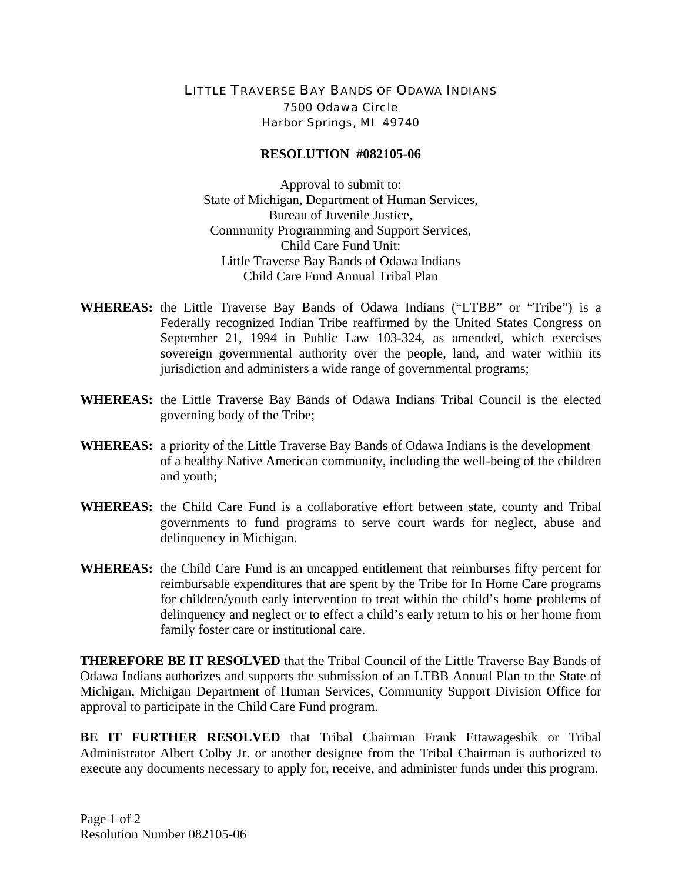## LITTLE TRAVERSE BAY BANDS OF ODAWA INDIANS 7500 Odawa Circle Harbor Springs, MI 49740

## **RESOLUTION #082105-06**

Approval to submit to: State of Michigan, Department of Human Services, Bureau of Juvenile Justice, Community Programming and Support Services, Child Care Fund Unit: Little Traverse Bay Bands of Odawa Indians Child Care Fund Annual Tribal Plan

- **WHEREAS:** the Little Traverse Bay Bands of Odawa Indians ("LTBB" or "Tribe") is a Federally recognized Indian Tribe reaffirmed by the United States Congress on September 21, 1994 in Public Law 103-324, as amended, which exercises sovereign governmental authority over the people, land, and water within its jurisdiction and administers a wide range of governmental programs;
- **WHEREAS:** the Little Traverse Bay Bands of Odawa Indians Tribal Council is the elected governing body of the Tribe;
- **WHEREAS:** a priority of the Little Traverse Bay Bands of Odawa Indians is the development of a healthy Native American community, including the well-being of the children and youth;
- **WHEREAS:** the Child Care Fund is a collaborative effort between state, county and Tribal governments to fund programs to serve court wards for neglect, abuse and delinquency in Michigan.
- **WHEREAS:** the Child Care Fund is an uncapped entitlement that reimburses fifty percent for reimbursable expenditures that are spent by the Tribe for In Home Care programs for children/youth early intervention to treat within the child's home problems of delinquency and neglect or to effect a child's early return to his or her home from family foster care or institutional care.

**THEREFORE BE IT RESOLVED** that the Tribal Council of the Little Traverse Bay Bands of Odawa Indians authorizes and supports the submission of an LTBB Annual Plan to the State of Michigan, Michigan Department of Human Services, Community Support Division Office for approval to participate in the Child Care Fund program.

**BE IT FURTHER RESOLVED** that Tribal Chairman Frank Ettawageshik or Tribal Administrator Albert Colby Jr. or another designee from the Tribal Chairman is authorized to execute any documents necessary to apply for, receive, and administer funds under this program.